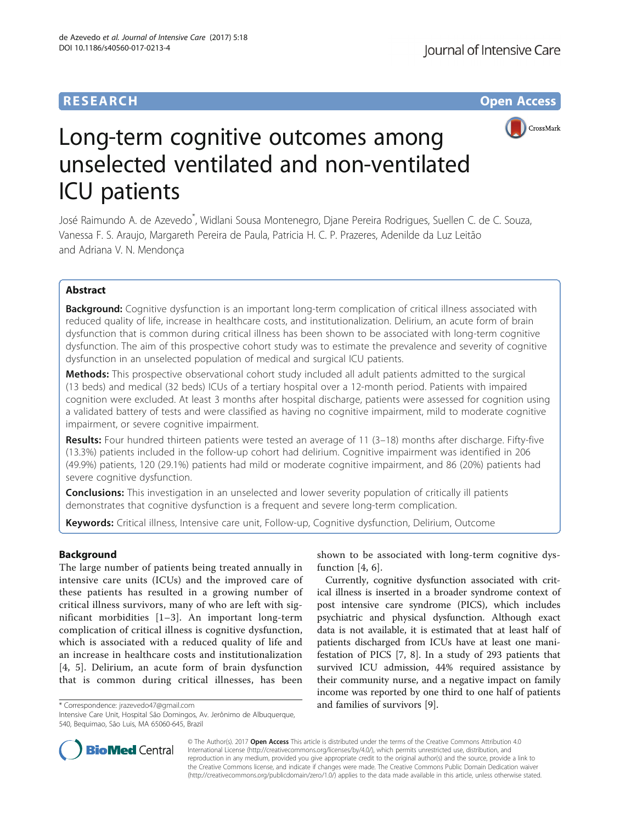# **RESEARCH CHE Open Access**



# Long-term cognitive outcomes among unselected ventilated and non-ventilated ICU patients

José Raimundo A. de Azevedo\* , Widlani Sousa Montenegro, Djane Pereira Rodrigues, Suellen C. de C. Souza, Vanessa F. S. Araujo, Margareth Pereira de Paula, Patricia H. C. P. Prazeres, Adenilde da Luz Leitão and Adriana V. N. Mendonça

# Abstract

**Background:** Cognitive dysfunction is an important long-term complication of critical illness associated with reduced quality of life, increase in healthcare costs, and institutionalization. Delirium, an acute form of brain dysfunction that is common during critical illness has been shown to be associated with long-term cognitive dysfunction. The aim of this prospective cohort study was to estimate the prevalence and severity of cognitive dysfunction in an unselected population of medical and surgical ICU patients.

Methods: This prospective observational cohort study included all adult patients admitted to the surgical (13 beds) and medical (32 beds) ICUs of a tertiary hospital over a 12-month period. Patients with impaired cognition were excluded. At least 3 months after hospital discharge, patients were assessed for cognition using a validated battery of tests and were classified as having no cognitive impairment, mild to moderate cognitive impairment, or severe cognitive impairment.

Results: Four hundred thirteen patients were tested an average of 11 (3-18) months after discharge. Fifty-five (13.3%) patients included in the follow-up cohort had delirium. Cognitive impairment was identified in 206 (49.9%) patients, 120 (29.1%) patients had mild or moderate cognitive impairment, and 86 (20%) patients had severe cognitive dysfunction.

**Conclusions:** This investigation in an unselected and lower severity population of critically ill patients demonstrates that cognitive dysfunction is a frequent and severe long-term complication.

Keywords: Critical illness, Intensive care unit, Follow-up, Cognitive dysfunction, Delirium, Outcome

## Background

The large number of patients being treated annually in intensive care units (ICUs) and the improved care of these patients has resulted in a growing number of critical illness survivors, many of who are left with significant morbidities [[1](#page-4-0)–[3](#page-4-0)]. An important long-term complication of critical illness is cognitive dysfunction, which is associated with a reduced quality of life and an increase in healthcare costs and institutionalization [[4](#page-4-0), [5](#page-4-0)]. Delirium, an acute form of brain dysfunction that is common during critical illnesses, has been

shown to be associated with long-term cognitive dys-function [[4, 6](#page-4-0)].

Currently, cognitive dysfunction associated with critical illness is inserted in a broader syndrome context of post intensive care syndrome (PICS), which includes psychiatric and physical dysfunction. Although exact data is not available, it is estimated that at least half of patients discharged from ICUs have at least one manifestation of PICS [\[7](#page-4-0), [8](#page-4-0)]. In a study of 293 patients that survived ICU admission, 44% required assistance by their community nurse, and a negative impact on family income was reported by one third to one half of patients \* Correspondence: [jrazevedo47@gmail.com](mailto:jrazevedo47@gmail.com) and families of survivors [\[9](#page-4-0)].



© The Author(s). 2017 **Open Access** This article is distributed under the terms of the Creative Commons Attribution 4.0 International License [\(http://creativecommons.org/licenses/by/4.0/](http://creativecommons.org/licenses/by/4.0/)), which permits unrestricted use, distribution, and reproduction in any medium, provided you give appropriate credit to the original author(s) and the source, provide a link to the Creative Commons license, and indicate if changes were made. The Creative Commons Public Domain Dedication waiver [\(http://creativecommons.org/publicdomain/zero/1.0/](http://creativecommons.org/publicdomain/zero/1.0/)) applies to the data made available in this article, unless otherwise stated.

Intensive Care Unit, Hospital São Domingos, Av. Jerônimo de Albuquerque, 540, Bequimao, São Luis, MA 65060-645, Brazil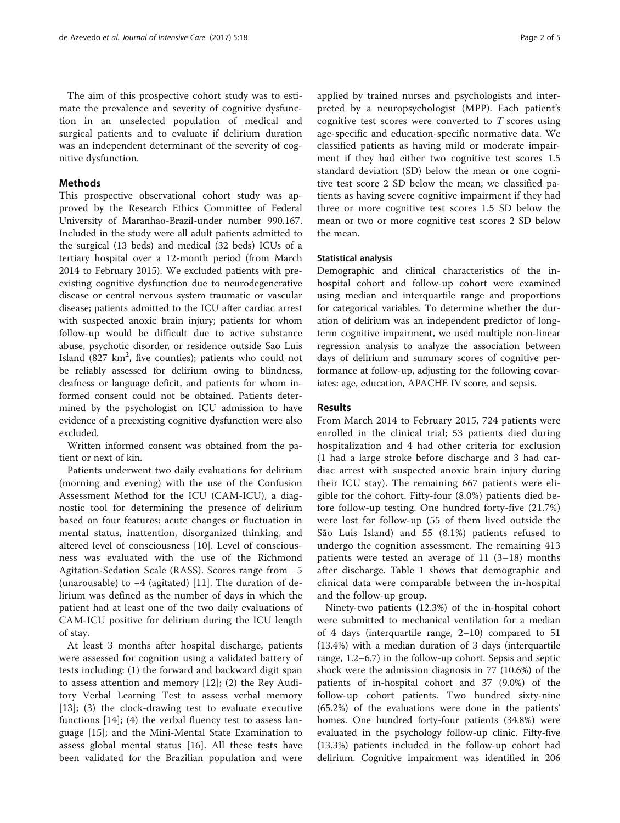The aim of this prospective cohort study was to estimate the prevalence and severity of cognitive dysfunction in an unselected population of medical and surgical patients and to evaluate if delirium duration was an independent determinant of the severity of cognitive dysfunction.

### Methods

This prospective observational cohort study was approved by the Research Ethics Committee of Federal University of Maranhao-Brazil-under number 990.167. Included in the study were all adult patients admitted to the surgical (13 beds) and medical (32 beds) ICUs of a tertiary hospital over a 12-month period (from March 2014 to February 2015). We excluded patients with preexisting cognitive dysfunction due to neurodegenerative disease or central nervous system traumatic or vascular disease; patients admitted to the ICU after cardiac arrest with suspected anoxic brain injury; patients for whom follow-up would be difficult due to active substance abuse, psychotic disorder, or residence outside Sao Luis Island  $(827 \text{ km}^2, \text{ five countries})$ ; patients who could not be reliably assessed for delirium owing to blindness, deafness or language deficit, and patients for whom informed consent could not be obtained. Patients determined by the psychologist on ICU admission to have evidence of a preexisting cognitive dysfunction were also excluded.

Written informed consent was obtained from the patient or next of kin.

Patients underwent two daily evaluations for delirium (morning and evening) with the use of the Confusion Assessment Method for the ICU (CAM-ICU), a diagnostic tool for determining the presence of delirium based on four features: acute changes or fluctuation in mental status, inattention, disorganized thinking, and altered level of consciousness [\[10](#page-4-0)]. Level of consciousness was evaluated with the use of the Richmond Agitation-Sedation Scale (RASS). Scores range from −5 (unarousable) to  $+4$  (agitated) [[11](#page-4-0)]. The duration of delirium was defined as the number of days in which the patient had at least one of the two daily evaluations of CAM-ICU positive for delirium during the ICU length of stay.

At least 3 months after hospital discharge, patients were assessed for cognition using a validated battery of tests including: (1) the forward and backward digit span to assess attention and memory [[12\]](#page-4-0); (2) the Rey Auditory Verbal Learning Test to assess verbal memory [[13\]](#page-4-0); (3) the clock-drawing test to evaluate executive functions [\[14](#page-4-0)]; (4) the verbal fluency test to assess language [[15\]](#page-4-0); and the Mini-Mental State Examination to assess global mental status [[16\]](#page-4-0). All these tests have been validated for the Brazilian population and were applied by trained nurses and psychologists and interpreted by a neuropsychologist (MPP). Each patient's cognitive test scores were converted to T scores using age-specific and education-specific normative data. We classified patients as having mild or moderate impairment if they had either two cognitive test scores 1.5 standard deviation (SD) below the mean or one cognitive test score 2 SD below the mean; we classified patients as having severe cognitive impairment if they had three or more cognitive test scores 1.5 SD below the mean or two or more cognitive test scores 2 SD below the mean.

#### Statistical analysis

Demographic and clinical characteristics of the inhospital cohort and follow-up cohort were examined using median and interquartile range and proportions for categorical variables. To determine whether the duration of delirium was an independent predictor of longterm cognitive impairment, we used multiple non-linear regression analysis to analyze the association between days of delirium and summary scores of cognitive performance at follow-up, adjusting for the following covariates: age, education, APACHE IV score, and sepsis.

#### Results

From March 2014 to February 2015, 724 patients were enrolled in the clinical trial; 53 patients died during hospitalization and 4 had other criteria for exclusion (1 had a large stroke before discharge and 3 had cardiac arrest with suspected anoxic brain injury during their ICU stay). The remaining 667 patients were eligible for the cohort. Fifty-four (8.0%) patients died before follow-up testing. One hundred forty-five (21.7%) were lost for follow-up (55 of them lived outside the São Luis Island) and 55 (8.1%) patients refused to undergo the cognition assessment. The remaining 413 patients were tested an average of 11 (3–18) months after discharge. Table [1](#page-2-0) shows that demographic and clinical data were comparable between the in-hospital and the follow-up group.

Ninety-two patients (12.3%) of the in-hospital cohort were submitted to mechanical ventilation for a median of 4 days (interquartile range, 2–10) compared to 51 (13.4%) with a median duration of 3 days (interquartile range, 1.2–6.7) in the follow-up cohort. Sepsis and septic shock were the admission diagnosis in 77 (10.6%) of the patients of in-hospital cohort and 37 (9.0%) of the follow-up cohort patients. Two hundred sixty-nine (65.2%) of the evaluations were done in the patients' homes. One hundred forty-four patients (34.8%) were evaluated in the psychology follow-up clinic. Fifty-five (13.3%) patients included in the follow-up cohort had delirium. Cognitive impairment was identified in 206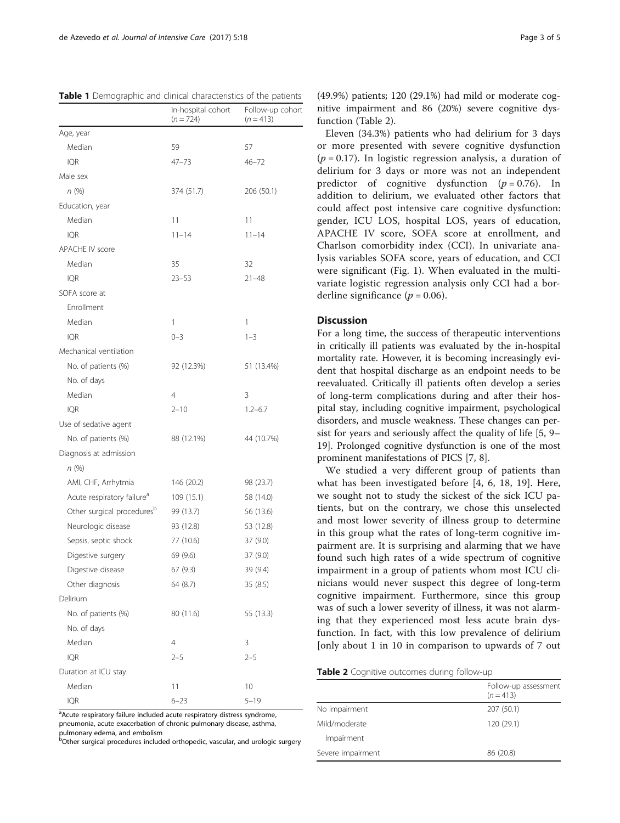<span id="page-2-0"></span>

|                                        | In-hospital cohort<br>$(n = 724)$ | Follow-up cohort<br>$(n = 413)$ |
|----------------------------------------|-----------------------------------|---------------------------------|
| Age, year                              |                                   |                                 |
| Median                                 | 59                                | 57                              |
| IQR                                    | 47–73                             | $46 - 72$                       |
| Male sex                               |                                   |                                 |
| n(%)                                   | 374 (51.7)                        | 206 (50.1)                      |
| Education, year                        |                                   |                                 |
| Median                                 | 11                                | 11                              |
| <b>IQR</b>                             | $11 - 14$                         | $11 - 14$                       |
| <b>APACHE IV score</b>                 |                                   |                                 |
| Median                                 | 35                                | 32                              |
| <b>IQR</b>                             | $23 - 53$                         | $21 - 48$                       |
| SOFA score at                          |                                   |                                 |
| Enrollment                             |                                   |                                 |
| Median                                 | 1                                 | 1                               |
| <b>IQR</b>                             | $0 - 3$                           | $1 - 3$                         |
| Mechanical ventilation                 |                                   |                                 |
| No. of patients (%)                    | 92 (12.3%)                        | 51 (13.4%)                      |
| No. of days                            |                                   |                                 |
| Median                                 | 4                                 | 3                               |
| <b>IQR</b>                             | $2 - 10$                          | $1.2 - 6.7$                     |
| Use of sedative agent                  |                                   |                                 |
| No. of patients (%)                    | 88 (12.1%)                        | 44 (10.7%)                      |
| Diagnosis at admission                 |                                   |                                 |
| n (%)                                  |                                   |                                 |
| AMI, CHF, Arrhytmia                    | 146 (20.2)                        | 98 (23.7)                       |
| Acute respiratory failure <sup>a</sup> | 109 (15.1)                        | 58 (14.0)                       |
| Other surgical procedures <sup>b</sup> | 99 (13.7)                         | 56 (13.6)                       |
| Neurologic disease                     | 93 (12.8)                         | 53 (12.8)                       |
| Sepsis, septic shock                   | 77 (10.6)                         | 37 (9.0)                        |
| Digestive surgery                      | 69 (9.6)                          | 37 (9.0)                        |
| Digestive disease                      | 67 (9.3)                          | 39 (9.4)                        |
| Other diagnosis                        | 64 (8.7)                          | 35 (8.5)                        |
| Delirium                               |                                   |                                 |
| No. of patients (%)                    | 80 (11.6)                         | 55 (13.3)                       |
| No. of days                            |                                   |                                 |
| Median                                 | 4                                 | 3                               |
| <b>IOR</b>                             | $2 - 5$                           | $2 - 5$                         |
| Duration at ICU stay                   |                                   |                                 |
| Median                                 | 11                                | 10                              |
| <b>IQR</b>                             | $6 - 23$                          | $5 - 19$                        |

<sup>a</sup>Acute respiratory failure included acute respiratory distress syndrome, pneumonia, acute exacerbation of chronic pulmonary disease, asthma, pulmonary edema, and embolism

**b**Other surgical procedures included orthopedic, vascular, and urologic surgery

(49.9%) patients; 120 (29.1%) had mild or moderate cognitive impairment and 86 (20%) severe cognitive dysfunction (Table 2).

Eleven (34.3%) patients who had delirium for 3 days or more presented with severe cognitive dysfunction  $(p = 0.17)$ . In logistic regression analysis, a duration of delirium for 3 days or more was not an independent predictor of cognitive dysfunction  $(p=0.76)$ . In addition to delirium, we evaluated other factors that could affect post intensive care cognitive dysfunction: gender, ICU LOS, hospital LOS, years of education, APACHE IV score, SOFA score at enrollment, and Charlson comorbidity index (CCI). In univariate analysis variables SOFA score, years of education, and CCI were significant (Fig. [1](#page-3-0)). When evaluated in the multivariate logistic regression analysis only CCI had a borderline significance ( $p = 0.06$ ).

#### **Discussion**

For a long time, the success of therapeutic interventions in critically ill patients was evaluated by the in-hospital mortality rate. However, it is becoming increasingly evident that hospital discharge as an endpoint needs to be reevaluated. Critically ill patients often develop a series of long-term complications during and after their hospital stay, including cognitive impairment, psychological disorders, and muscle weakness. These changes can persist for years and seriously affect the quality of life [[5, 9](#page-4-0)– [19\]](#page-4-0). Prolonged cognitive dysfunction is one of the most prominent manifestations of PICS [\[7](#page-4-0), [8](#page-4-0)].

We studied a very different group of patients than what has been investigated before [[4, 6, 18](#page-4-0), [19](#page-4-0)]. Here, we sought not to study the sickest of the sick ICU patients, but on the contrary, we chose this unselected and most lower severity of illness group to determine in this group what the rates of long-term cognitive impairment are. It is surprising and alarming that we have found such high rates of a wide spectrum of cognitive impairment in a group of patients whom most ICU clinicians would never suspect this degree of long-term cognitive impairment. Furthermore, since this group was of such a lower severity of illness, it was not alarming that they experienced most less acute brain dysfunction. In fact, with this low prevalence of delirium [only about 1 in 10 in comparison to upwards of 7 out

|  | Table 2 Cognitive outcomes during follow-up |  |
|--|---------------------------------------------|--|
|  |                                             |  |

|                   | Follow-up assessment<br>$(n = 413)$ |
|-------------------|-------------------------------------|
| No impairment     | 207 (50.1)                          |
| Mild/moderate     | 120 (29.1)                          |
| Impairment        |                                     |
| Severe impairment | 86 (20.8)                           |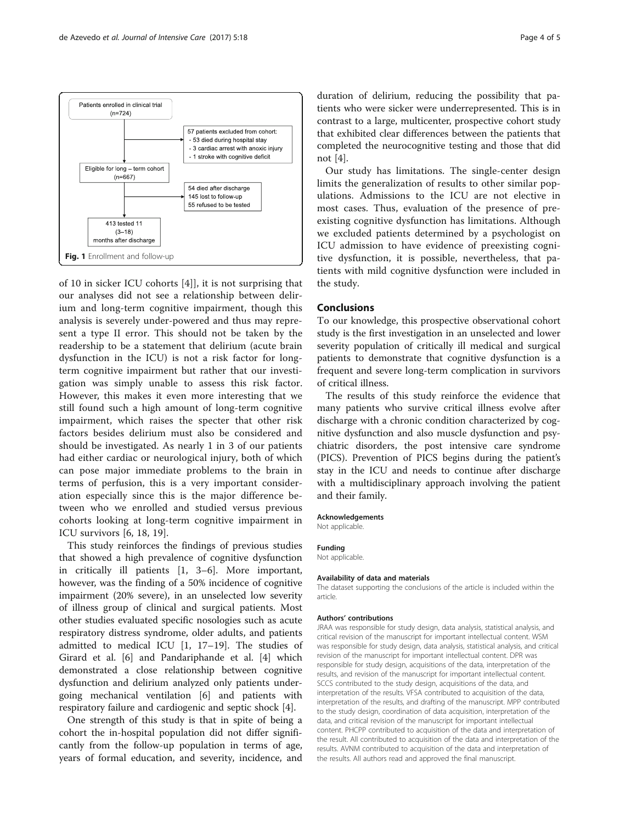

<span id="page-3-0"></span>

of 10 in sicker ICU cohorts [\[4](#page-4-0)]], it is not surprising that our analyses did not see a relationship between delirium and long-term cognitive impairment, though this analysis is severely under-powered and thus may represent a type II error. This should not be taken by the readership to be a statement that delirium (acute brain dysfunction in the ICU) is not a risk factor for longterm cognitive impairment but rather that our investigation was simply unable to assess this risk factor. However, this makes it even more interesting that we still found such a high amount of long-term cognitive impairment, which raises the specter that other risk factors besides delirium must also be considered and should be investigated. As nearly 1 in 3 of our patients had either cardiac or neurological injury, both of which can pose major immediate problems to the brain in terms of perfusion, this is a very important consideration especially since this is the major difference between who we enrolled and studied versus previous cohorts looking at long-term cognitive impairment in ICU survivors [\[6](#page-4-0), [18, 19\]](#page-4-0).

This study reinforces the findings of previous studies that showed a high prevalence of cognitive dysfunction in critically ill patients [[1](#page-4-0), [3](#page-4-0)–[6](#page-4-0)]. More important, however, was the finding of a 50% incidence of cognitive impairment (20% severe), in an unselected low severity of illness group of clinical and surgical patients. Most other studies evaluated specific nosologies such as acute respiratory distress syndrome, older adults, and patients admitted to medical ICU [[1, 17](#page-4-0)–[19](#page-4-0)]. The studies of Girard et al. [\[6](#page-4-0)] and Pandariphande et al. [\[4](#page-4-0)] which demonstrated a close relationship between cognitive dysfunction and delirium analyzed only patients undergoing mechanical ventilation [[6](#page-4-0)] and patients with respiratory failure and cardiogenic and septic shock [\[4](#page-4-0)].

One strength of this study is that in spite of being a cohort the in-hospital population did not differ significantly from the follow-up population in terms of age, years of formal education, and severity, incidence, and

duration of delirium, reducing the possibility that patients who were sicker were underrepresented. This is in contrast to a large, multicenter, prospective cohort study that exhibited clear differences between the patients that completed the neurocognitive testing and those that did not [[4](#page-4-0)].

Our study has limitations. The single-center design limits the generalization of results to other similar populations. Admissions to the ICU are not elective in most cases. Thus, evaluation of the presence of preexisting cognitive dysfunction has limitations. Although we excluded patients determined by a psychologist on ICU admission to have evidence of preexisting cognitive dysfunction, it is possible, nevertheless, that patients with mild cognitive dysfunction were included in the study.

#### Conclusions

To our knowledge, this prospective observational cohort study is the first investigation in an unselected and lower severity population of critically ill medical and surgical patients to demonstrate that cognitive dysfunction is a frequent and severe long-term complication in survivors of critical illness.

The results of this study reinforce the evidence that many patients who survive critical illness evolve after discharge with a chronic condition characterized by cognitive dysfunction and also muscle dysfunction and psychiatric disorders, the post intensive care syndrome (PICS). Prevention of PICS begins during the patient's stay in the ICU and needs to continue after discharge with a multidisciplinary approach involving the patient and their family.

#### Acknowledgements

Not applicable.

#### Funding

Not applicable.

#### Availability of data and materials

The dataset supporting the conclusions of the article is included within the article.

#### Authors' contributions

JRAA was responsible for study design, data analysis, statistical analysis, and critical revision of the manuscript for important intellectual content. WSM was responsible for study design, data analysis, statistical analysis, and critical revision of the manuscript for important intellectual content. DPR was responsible for study design, acquisitions of the data, interpretation of the results, and revision of the manuscript for important intellectual content. SCCS contributed to the study design, acquisitions of the data, and interpretation of the results. VFSA contributed to acquisition of the data, interpretation of the results, and drafting of the manuscript. MPP contributed to the study design, coordination of data acquisition, interpretation of the data, and critical revision of the manuscript for important intellectual content. PHCPP contributed to acquisition of the data and interpretation of the result. All contributed to acquisition of the data and interpretation of the results. AVNM contributed to acquisition of the data and interpretation of the results. All authors read and approved the final manuscript.